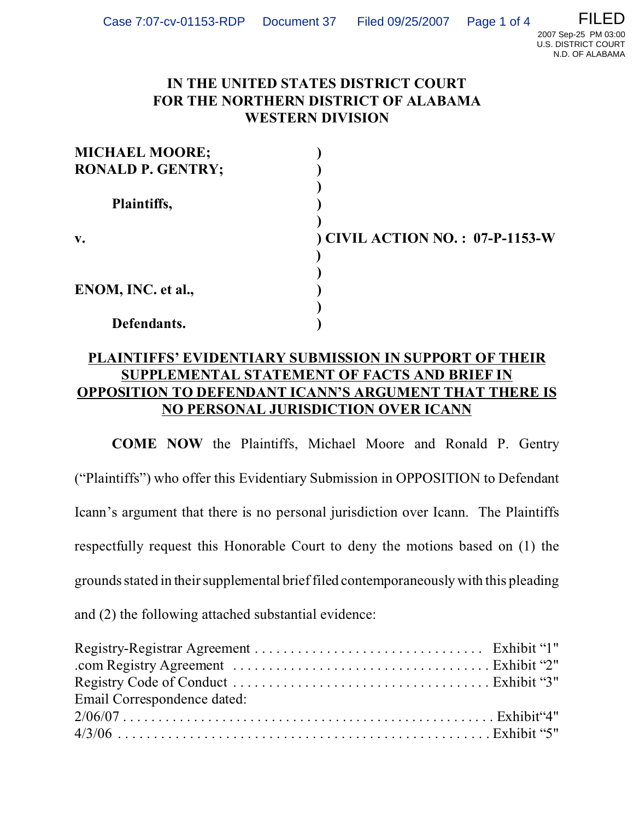N.D. OF ALABAMA

## **IN THE UNITED STATES DISTRICT COURT FOR THE NORTHERN DISTRICT OF ALABAMA WESTERN DIVISION**

| <b>MICHAEL MOORE;</b>    |                                  |
|--------------------------|----------------------------------|
| <b>RONALD P. GENTRY;</b> |                                  |
| Plaintiffs,              |                                  |
| $\mathbf{v}$ .           | ) CIVIL ACTION NO. : 07-P-1153-W |
|                          |                                  |
|                          |                                  |
| ENOM, INC. et al.,       |                                  |
|                          |                                  |
| Defendants.              |                                  |

## **PLAINTIFFS' EVIDENTIARY SUBMISSION IN SUPPORT OF THEIR SUPPLEMENTAL STATEMENT OF FACTS AND BRIEF IN OPPOSITION TO DEFENDANT ICANN'S ARGUMENT THAT THERE IS NO PERSONAL JURISDICTION OVER ICANN**

**COME NOW** the Plaintiffs, Michael Moore and Ronald P. Gentry ("Plaintiffs") who offer this Evidentiary Submission in OPPOSITION to Defendant Icann's argument that there is no personal jurisdiction over Icann. The Plaintiffs respectfully request this Honorable Court to deny the motions based on (1) the grounds stated in their supplemental brief filed contemporaneously with this pleading and (2) the following attached substantial evidence:

| Email Correspondence dated: |  |
|-----------------------------|--|
| $2/06/07$ Exhibit "4"       |  |
|                             |  |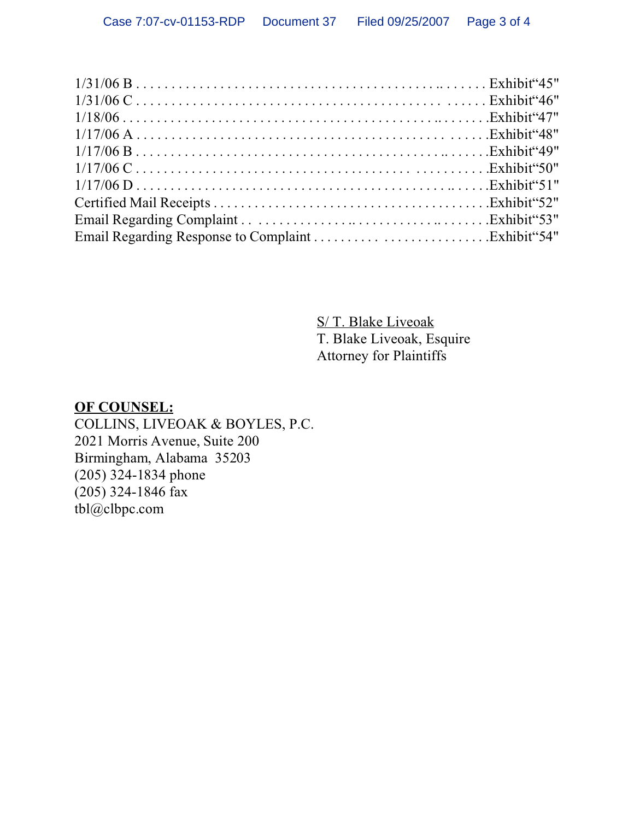S/ T. Blake Liveoak T. Blake Liveoak, Esquire Attorney for Plaintiffs

## **OF COUNSEL:** COLLINS, LIVEOAK & BOYLES, P.C. 2021 Morris Avenue, Suite 200 Birmingham, Alabama 35203 (205) 324-1834 phone (205) 324-1846 fax tbl@clbpc.com